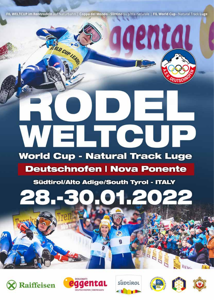FIL WELTCUP im Rennrodeln auf Naturbahn | Coppa del Mondo - Slittino su pista naturale | FIL World Cup - Natural Track Luge

RLD CUP LEADE

03000



# **Deutschnofen | Nova Ponente**

Südtirol/Alto Adige/South Tyrol - ITALY

# 28. – **H2O2**









ED I



**WWW.** 

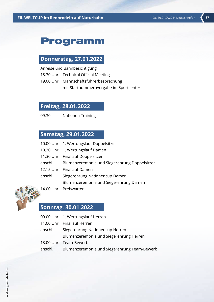### Programm

#### **Donnerstag, 27.01.2022**

Anreise und Bahnbesichtigung

- 18.30 Uhr Technical Official Meeting
- 19.00 Uhr Mannschaftsführerbesprechung mit Startnummernvergabe im Sportcenter

#### **Freitag, 28.01.2022**

09.30 Nationen Training

#### **Samstag, 29.01.2022**

|         | 10.00 Uhr 1. Wertungslauf Doppelsitzer                |
|---------|-------------------------------------------------------|
|         | 10.30 Uhr 1. Wertungslauf Damen                       |
|         | 11.30 Uhr Finallauf Doppelsitzer                      |
|         | anschl. Blumenzeremonie und Siegerehrung Doppelsitzer |
|         | 12.15 Uhr Finallauf Damen                             |
| anschl. | Siegerehrung Nationencup Damen                        |
|         | Blumenzeremonie und Siegerehrung Damen                |
|         |                                                       |

14.00 Uhr Preiswatten

#### **Sonntag, 30.01.2022**

- 09.00 Uhr 1. Wertungslauf Herren
- 11.00 Uhr Finallauf Herren
- anschl. Siegerehrung Nationencup Herren Blumenzeremonie und Siegerehrung Herren
- 13.00 Uhr Team-Bewerb
- anschl. Blumenzeremonie und Siegerehrung Team-Bewerb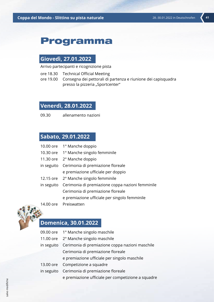# Programma

### **Giovedì, 27.01.2022**

Arrivo partecipanti e ricognizione pista

- ore 18.30 Technical Official Meeting
- ore 19.00 Consegna dei pettorali di partenza e riunione dei capisquadra presso la pizzeria "Sportcenter"

### **Venerdì, 28.01.2022**

09.30 allenamento nazioni

### **Sabato, 29.01.2022**

| 10.00 ore 1° Manche doppio                                  |
|-------------------------------------------------------------|
| 10.30 ore 1° Manche singolo femminile                       |
| 11.30 ore 2° Manche doppio                                  |
| in seguito Cerimonia di premiazione floreale                |
| e premiazione ufficiale per doppio                          |
| 12.15 ore 2° Manche singolo femminile                       |
| in seguito Cerimonia di premiazione coppa nazioni femminile |
| Cerimonia di premiazione floreale                           |
| e premiazione ufficiale per singolo femminile               |
|                                                             |

14.00 ore Preiswatten



## **Domenica, 30.01.2022**

| 09.00 ore 1° Manche singolo maschile                       |
|------------------------------------------------------------|
| 11.00 ore 2° Manche singolo maschile                       |
| in seguito Cerimonia di premiazione coppa nazioni maschile |
| Cerimonia di premiazione floreale                          |
| e premiazione ufficiale per singolo maschile               |
| 13.00 ore Competizione a squadre                           |
| in seguito Cerimonia di premiazione floreale               |
| e premiazione ufficiale per competizione a squadre         |